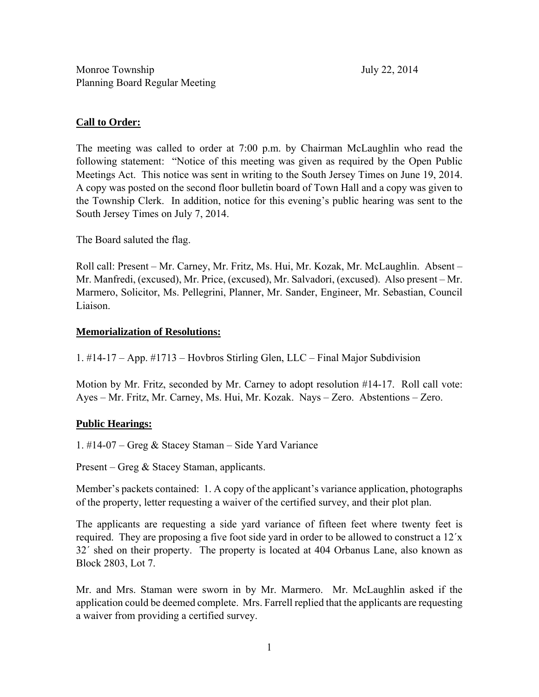# **Call to Order:**

The meeting was called to order at 7:00 p.m. by Chairman McLaughlin who read the following statement: "Notice of this meeting was given as required by the Open Public Meetings Act. This notice was sent in writing to the South Jersey Times on June 19, 2014. A copy was posted on the second floor bulletin board of Town Hall and a copy was given to the Township Clerk. In addition, notice for this evening's public hearing was sent to the South Jersey Times on July 7, 2014.

The Board saluted the flag.

Roll call: Present – Mr. Carney, Mr. Fritz, Ms. Hui, Mr. Kozak, Mr. McLaughlin. Absent – Mr. Manfredi, (excused), Mr. Price, (excused), Mr. Salvadori, (excused). Also present – Mr. Marmero, Solicitor, Ms. Pellegrini, Planner, Mr. Sander, Engineer, Mr. Sebastian, Council Liaison.

# **Memorialization of Resolutions:**

1. #14-17 – App. #1713 – Hovbros Stirling Glen, LLC – Final Major Subdivision

Motion by Mr. Fritz, seconded by Mr. Carney to adopt resolution #14-17. Roll call vote: Ayes – Mr. Fritz, Mr. Carney, Ms. Hui, Mr. Kozak. Nays – Zero. Abstentions – Zero.

## **Public Hearings:**

1. #14-07 – Greg & Stacey Staman – Side Yard Variance

Present – Greg & Stacey Staman, applicants.

Member's packets contained: 1. A copy of the applicant's variance application, photographs of the property, letter requesting a waiver of the certified survey, and their plot plan.

The applicants are requesting a side yard variance of fifteen feet where twenty feet is required. They are proposing a five foot side yard in order to be allowed to construct a 12΄x 32΄ shed on their property. The property is located at 404 Orbanus Lane, also known as Block 2803, Lot 7.

Mr. and Mrs. Staman were sworn in by Mr. Marmero. Mr. McLaughlin asked if the application could be deemed complete. Mrs. Farrell replied that the applicants are requesting a waiver from providing a certified survey.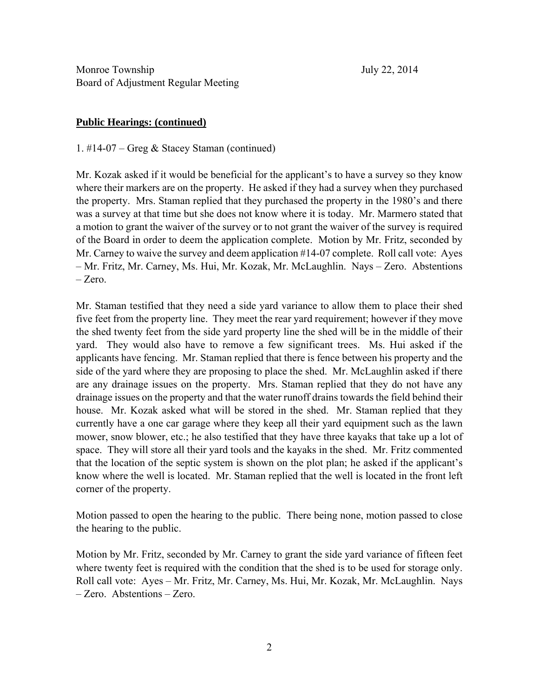### **Public Hearings: (continued)**

1. #14-07 – Greg & Stacey Staman (continued)

Mr. Kozak asked if it would be beneficial for the applicant's to have a survey so they know where their markers are on the property. He asked if they had a survey when they purchased the property. Mrs. Staman replied that they purchased the property in the 1980's and there was a survey at that time but she does not know where it is today. Mr. Marmero stated that a motion to grant the waiver of the survey or to not grant the waiver of the survey is required of the Board in order to deem the application complete. Motion by Mr. Fritz, seconded by Mr. Carney to waive the survey and deem application #14-07 complete. Roll call vote: Ayes – Mr. Fritz, Mr. Carney, Ms. Hui, Mr. Kozak, Mr. McLaughlin. Nays – Zero. Abstentions – Zero.

Mr. Staman testified that they need a side yard variance to allow them to place their shed five feet from the property line. They meet the rear yard requirement; however if they move the shed twenty feet from the side yard property line the shed will be in the middle of their yard. They would also have to remove a few significant trees. Ms. Hui asked if the applicants have fencing. Mr. Staman replied that there is fence between his property and the side of the yard where they are proposing to place the shed. Mr. McLaughlin asked if there are any drainage issues on the property. Mrs. Staman replied that they do not have any drainage issues on the property and that the water runoff drains towards the field behind their house. Mr. Kozak asked what will be stored in the shed. Mr. Staman replied that they currently have a one car garage where they keep all their yard equipment such as the lawn mower, snow blower, etc.; he also testified that they have three kayaks that take up a lot of space. They will store all their yard tools and the kayaks in the shed. Mr. Fritz commented that the location of the septic system is shown on the plot plan; he asked if the applicant's know where the well is located. Mr. Staman replied that the well is located in the front left corner of the property.

Motion passed to open the hearing to the public. There being none, motion passed to close the hearing to the public.

Motion by Mr. Fritz, seconded by Mr. Carney to grant the side yard variance of fifteen feet where twenty feet is required with the condition that the shed is to be used for storage only. Roll call vote: Ayes – Mr. Fritz, Mr. Carney, Ms. Hui, Mr. Kozak, Mr. McLaughlin. Nays – Zero. Abstentions – Zero.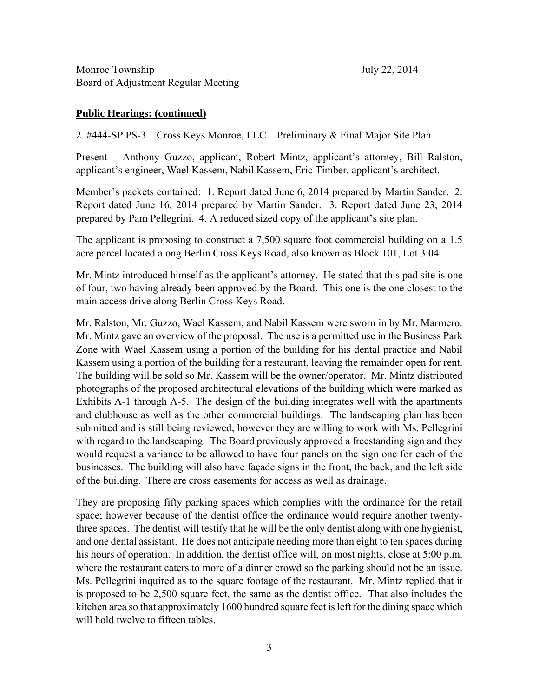## **Public Hearings: (continued)**

2. #444-SP PS-3 – Cross Keys Monroe, LLC – Preliminary & Final Major Site Plan

Present – Anthony Guzzo, applicant, Robert Mintz, applicant's attorney, Bill Ralston, applicant's engineer, Wael Kassem, Nabil Kassem, Eric Timber, applicant's architect.

Member's packets contained: 1. Report dated June 6, 2014 prepared by Martin Sander. 2. Report dated June 16, 2014 prepared by Martin Sander. 3. Report dated June 23, 2014 prepared by Pam Pellegrini. 4. A reduced sized copy of the applicant's site plan.

The applicant is proposing to construct a 7,500 square foot commercial building on a 1.5 acre parcel located along Berlin Cross Keys Road, also known as Block 101, Lot 3.04.

Mr. Mintz introduced himself as the applicant's attorney. He stated that this pad site is one of four, two having already been approved by the Board. This one is the one closest to the main access drive along Berlin Cross Keys Road.

Mr. Ralston, Mr. Guzzo, Wael Kassem, and Nabil Kassem were sworn in by Mr. Marmero. Mr. Mintz gave an overview of the proposal. The use is a permitted use in the Business Park Zone with Wael Kassem using a portion of the building for his dental practice and Nabil Kassem using a portion of the building for a restaurant, leaving the remainder open for rent. The building will be sold so Mr. Kassem will be the owner/operator. Mr. Mintz distributed photographs of the proposed architectural elevations of the building which were marked as Exhibits A-1 through A-5. The design of the building integrates well with the apartments and clubhouse as well as the other commercial buildings. The landscaping plan has been submitted and is still being reviewed; however they are willing to work with Ms. Pellegrini with regard to the landscaping. The Board previously approved a freestanding sign and they would request a variance to be allowed to have four panels on the sign one for each of the businesses. The building will also have façade signs in the front, the back, and the left side of the building. There are cross easements for access as well as drainage.

They are proposing fifty parking spaces which complies with the ordinance for the retail space; however because of the dentist office the ordinance would require another twentythree spaces. The dentist will testify that he will be the only dentist along with one hygienist, and one dental assistant. He does not anticipate needing more than eight to ten spaces during his hours of operation. In addition, the dentist office will, on most nights, close at 5:00 p.m. where the restaurant caters to more of a dinner crowd so the parking should not be an issue. Ms. Pellegrini inquired as to the square footage of the restaurant. Mr. Mintz replied that it is proposed to be 2,500 square feet, the same as the dentist office. That also includes the kitchen area so that approximately 1600 hundred square feet is left for the dining space which will hold twelve to fifteen tables.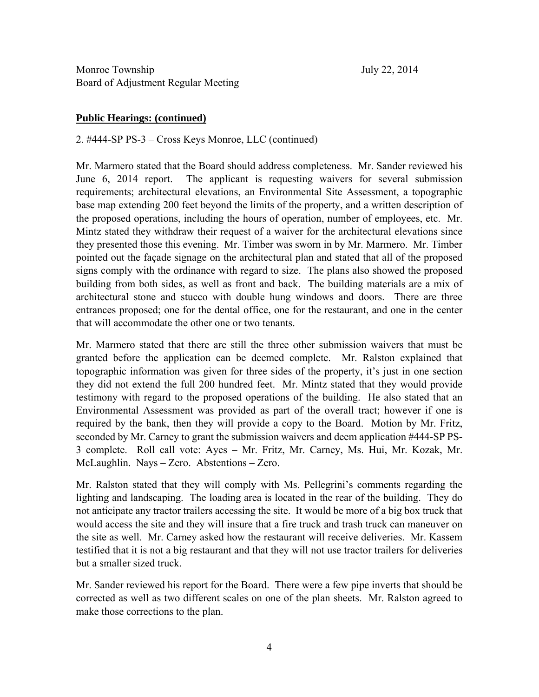#### **Public Hearings: (continued)**

2. #444-SP PS-3 – Cross Keys Monroe, LLC (continued)

Mr. Marmero stated that the Board should address completeness. Mr. Sander reviewed his June 6, 2014 report. The applicant is requesting waivers for several submission requirements; architectural elevations, an Environmental Site Assessment, a topographic base map extending 200 feet beyond the limits of the property, and a written description of the proposed operations, including the hours of operation, number of employees, etc. Mr. Mintz stated they withdraw their request of a waiver for the architectural elevations since they presented those this evening. Mr. Timber was sworn in by Mr. Marmero. Mr. Timber pointed out the façade signage on the architectural plan and stated that all of the proposed signs comply with the ordinance with regard to size. The plans also showed the proposed building from both sides, as well as front and back. The building materials are a mix of architectural stone and stucco with double hung windows and doors. There are three entrances proposed; one for the dental office, one for the restaurant, and one in the center that will accommodate the other one or two tenants.

Mr. Marmero stated that there are still the three other submission waivers that must be granted before the application can be deemed complete. Mr. Ralston explained that topographic information was given for three sides of the property, it's just in one section they did not extend the full 200 hundred feet. Mr. Mintz stated that they would provide testimony with regard to the proposed operations of the building. He also stated that an Environmental Assessment was provided as part of the overall tract; however if one is required by the bank, then they will provide a copy to the Board. Motion by Mr. Fritz, seconded by Mr. Carney to grant the submission waivers and deem application #444-SP PS-3 complete. Roll call vote: Ayes – Mr. Fritz, Mr. Carney, Ms. Hui, Mr. Kozak, Mr. McLaughlin. Nays – Zero. Abstentions – Zero.

Mr. Ralston stated that they will comply with Ms. Pellegrini's comments regarding the lighting and landscaping. The loading area is located in the rear of the building. They do not anticipate any tractor trailers accessing the site. It would be more of a big box truck that would access the site and they will insure that a fire truck and trash truck can maneuver on the site as well. Mr. Carney asked how the restaurant will receive deliveries. Mr. Kassem testified that it is not a big restaurant and that they will not use tractor trailers for deliveries but a smaller sized truck.

Mr. Sander reviewed his report for the Board. There were a few pipe inverts that should be corrected as well as two different scales on one of the plan sheets. Mr. Ralston agreed to make those corrections to the plan.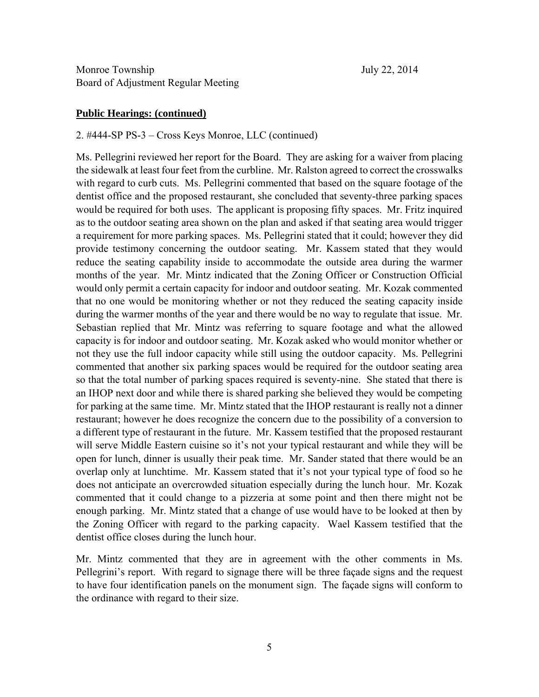#### **Public Hearings: (continued)**

#### 2. #444-SP PS-3 – Cross Keys Monroe, LLC (continued)

Ms. Pellegrini reviewed her report for the Board. They are asking for a waiver from placing the sidewalk at least four feet from the curbline. Mr. Ralston agreed to correct the crosswalks with regard to curb cuts. Ms. Pellegrini commented that based on the square footage of the dentist office and the proposed restaurant, she concluded that seventy-three parking spaces would be required for both uses. The applicant is proposing fifty spaces. Mr. Fritz inquired as to the outdoor seating area shown on the plan and asked if that seating area would trigger a requirement for more parking spaces. Ms. Pellegrini stated that it could; however they did provide testimony concerning the outdoor seating. Mr. Kassem stated that they would reduce the seating capability inside to accommodate the outside area during the warmer months of the year. Mr. Mintz indicated that the Zoning Officer or Construction Official would only permit a certain capacity for indoor and outdoor seating. Mr. Kozak commented that no one would be monitoring whether or not they reduced the seating capacity inside during the warmer months of the year and there would be no way to regulate that issue. Mr. Sebastian replied that Mr. Mintz was referring to square footage and what the allowed capacity is for indoor and outdoor seating. Mr. Kozak asked who would monitor whether or not they use the full indoor capacity while still using the outdoor capacity. Ms. Pellegrini commented that another six parking spaces would be required for the outdoor seating area so that the total number of parking spaces required is seventy-nine. She stated that there is an IHOP next door and while there is shared parking she believed they would be competing for parking at the same time. Mr. Mintz stated that the IHOP restaurant is really not a dinner restaurant; however he does recognize the concern due to the possibility of a conversion to a different type of restaurant in the future. Mr. Kassem testified that the proposed restaurant will serve Middle Eastern cuisine so it's not your typical restaurant and while they will be open for lunch, dinner is usually their peak time. Mr. Sander stated that there would be an overlap only at lunchtime. Mr. Kassem stated that it's not your typical type of food so he does not anticipate an overcrowded situation especially during the lunch hour. Mr. Kozak commented that it could change to a pizzeria at some point and then there might not be enough parking. Mr. Mintz stated that a change of use would have to be looked at then by the Zoning Officer with regard to the parking capacity. Wael Kassem testified that the dentist office closes during the lunch hour.

Mr. Mintz commented that they are in agreement with the other comments in Ms. Pellegrini's report. With regard to signage there will be three façade signs and the request to have four identification panels on the monument sign. The façade signs will conform to the ordinance with regard to their size.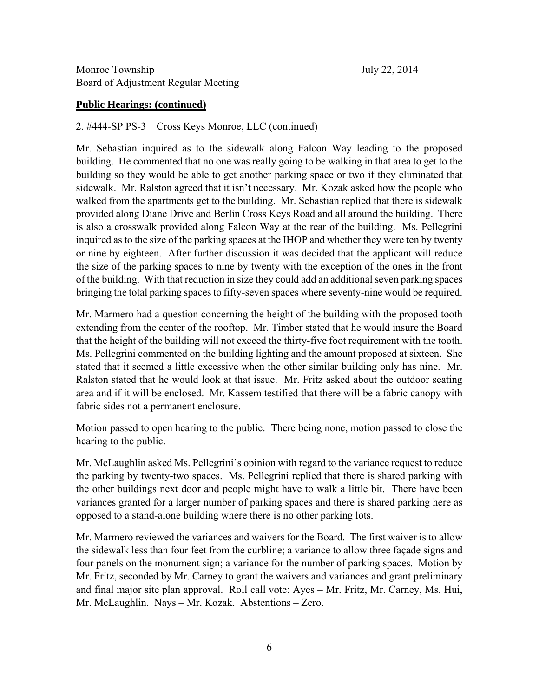# **Public Hearings: (continued)**

2. #444-SP PS-3 – Cross Keys Monroe, LLC (continued)

Mr. Sebastian inquired as to the sidewalk along Falcon Way leading to the proposed building. He commented that no one was really going to be walking in that area to get to the building so they would be able to get another parking space or two if they eliminated that sidewalk. Mr. Ralston agreed that it isn't necessary. Mr. Kozak asked how the people who walked from the apartments get to the building. Mr. Sebastian replied that there is sidewalk provided along Diane Drive and Berlin Cross Keys Road and all around the building. There is also a crosswalk provided along Falcon Way at the rear of the building. Ms. Pellegrini inquired as to the size of the parking spaces at the IHOP and whether they were ten by twenty or nine by eighteen. After further discussion it was decided that the applicant will reduce the size of the parking spaces to nine by twenty with the exception of the ones in the front of the building. With that reduction in size they could add an additional seven parking spaces bringing the total parking spaces to fifty-seven spaces where seventy-nine would be required.

Mr. Marmero had a question concerning the height of the building with the proposed tooth extending from the center of the rooftop. Mr. Timber stated that he would insure the Board that the height of the building will not exceed the thirty-five foot requirement with the tooth. Ms. Pellegrini commented on the building lighting and the amount proposed at sixteen. She stated that it seemed a little excessive when the other similar building only has nine. Mr. Ralston stated that he would look at that issue. Mr. Fritz asked about the outdoor seating area and if it will be enclosed. Mr. Kassem testified that there will be a fabric canopy with fabric sides not a permanent enclosure.

Motion passed to open hearing to the public. There being none, motion passed to close the hearing to the public.

Mr. McLaughlin asked Ms. Pellegrini's opinion with regard to the variance request to reduce the parking by twenty-two spaces. Ms. Pellegrini replied that there is shared parking with the other buildings next door and people might have to walk a little bit. There have been variances granted for a larger number of parking spaces and there is shared parking here as opposed to a stand-alone building where there is no other parking lots.

Mr. Marmero reviewed the variances and waivers for the Board. The first waiver is to allow the sidewalk less than four feet from the curbline; a variance to allow three façade signs and four panels on the monument sign; a variance for the number of parking spaces. Motion by Mr. Fritz, seconded by Mr. Carney to grant the waivers and variances and grant preliminary and final major site plan approval. Roll call vote: Ayes – Mr. Fritz, Mr. Carney, Ms. Hui, Mr. McLaughlin. Nays – Mr. Kozak. Abstentions – Zero.